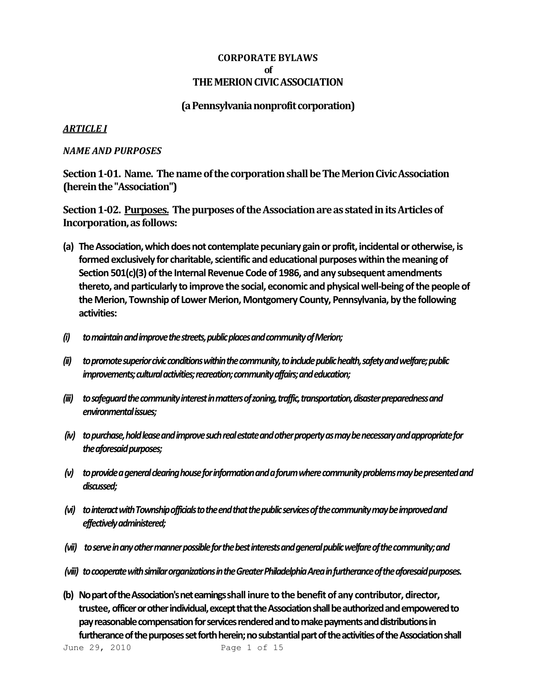### **CORPORATE BYLAWS of THE MERION CIVIC ASSOCIATION**

### **(a Pennsylvania nonprofit corporation)**

### *ARTICLE I*

#### *NAME AND PURPOSES*

**Section 1-01. Name. The name of the corporation shall be The Merion Civic Association (herein the "Association")**

**Section 1-02. Purposes. The purposes of the Association are as stated in its Articles of Incorporation, as follows:**

- (a) The Association, which does not contemplate pecuniary gain or profit, incidental or otherwise, is **formed exclusively for charitable, scientific and educational purposes within the meaning of Section 501(c)(3) of the Internal Revenue Code of 1986, and any subsequent amendments thereto, and particularly to improve the social, economic and physical well-being of the people of the Merion, Township of Lower Merion, Montgomery County, Pennsylvania, by the following activities:**
- *(i) to maintain and improve the streets, public places and community of Merion;*
- *(ii) to promote superior civic conditionswithin the community, to include public health, safety and welfare; public improvements; cultural activities; recreation; community affairs; and education;*
- *(iii) to safeguard the community interest inmatters of zoning, traffic, transportation, disaster preparedness and environmental issues;*
- *(iv) to purchase, holdlease and improvesuch real estate and other property as may be necessary and appropriate for the aforesaid purposes;*
- *(v) to provide a general clearing house forinformation and a forum where community problems may be presented and discussed;*
- *(vi) to interact with Township officials tothe end that the public services of the community may be improved and effectively administered;*
- *(vii) to serve in any other manner possiblefor the best interests and general public welfare of the community; and*
- *(viii) to cooperate with similar organizationsin the Greater Philadelphia Area in furtherance of the aforesaid purposes.*
- **(b) No part of the Association's net earningsshall inure to the benefit of any contributor, director, trustee, officer or other individual, except that the Association shall be authorized and empowered to pay reasonable compensation for services rendered and to make payments and distributions in**  furtherance of the purposes set forth herein; no substantial part of the activities of the Association shall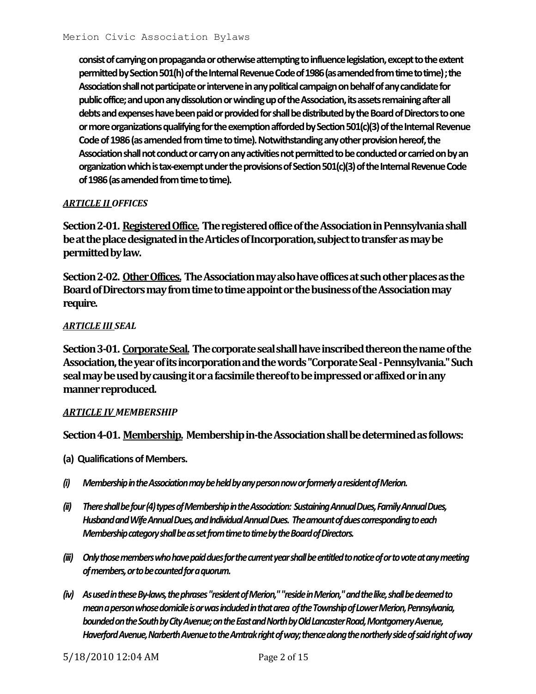**consist of carrying on propaganda or otherwise attempting to influence legislation, except to the extent permitted by Section 501(h) of the Internal Revenue Code of 1986 (as amended from time to time) ; the Association shall not participate or intervene in any political campaign on behalf of any candidate for public office; and upon any dissolution or winding up of the Association, its assets remaining after all debts and expenses have been paid or provided for shall be distributed by the Board of Directors to one or more organizations qualifying for the exemption afforded by Section 501(c)(3) of the Internal Revenue Code of 1986 (as amended from time to time). Notwithstanding any other provision hereof, the Association shall not conduct or carry on any activities not permitted to be conducted or carried on by an organization which is tax-exempt under the provisions of Section 501(c)(3) of the Internal Revenue Code of 1986 (as amended from time to time).**

### *ARTICLE II OFFICES*

**Section 2-01. Registered Office. The registered office of the Association in Pennsylvania shall be at the place designated in the Articles of Incorporation, subject to transfer as may be permitted by law.**

**Section 2-02. Other Offices. The Association may also have offices at such other places as the Board of Directors may from time to time appoint or the business of the Association may require.**

### *ARTICLE III SEAL*

**Section 3-01. Corporate Seal. The corporate seal shall have inscribed thereon the name of the Association, the year of its incorporation and the words "Corporate Seal -Pennsylvania." Such seal may be used by causing it or a facsimile thereof to be impressed or affixed or in any manner reproduced.**

#### *ARTICLE IV MEMBERSHIP*

**Section 4-01. Membership. Membership in-the Association shall be determined as follows:**

- **(a) Qualifications of Members.**
- *(i) Membership in the Association may be held by any person now or formerly a resident of Merion.*
- *(ii) There shall be four (4) types of Membership in the Association: Sustaining Annual Dues, Family AnnualDues, Husband and Wife Annual Dues, and Individual Annual Dues. The amount of dues corresponding to each Membership category shall be as set from time to time by the Board of Directors.*
- *(iii) Only those members who have paid dues for the current year shall be entitled to notice of or to vote at any meeting of members, or to be counted for a quorum.*
- *(iv) As used in these By-laws, the phrases"resident of Merion," "reside in Merion," and the like, shall be deemed to mean a person whose domicile is or was included in that area of the Township of Lower Merion, Pennsylvania,*  bounded on the South by City Avenue; on the East and North by Old Lancaster Road, Montgomery Avenue, *Haverford Avenue, Narberth Avenue to the Amtrak right of way; thence along the northerly side of said right of way*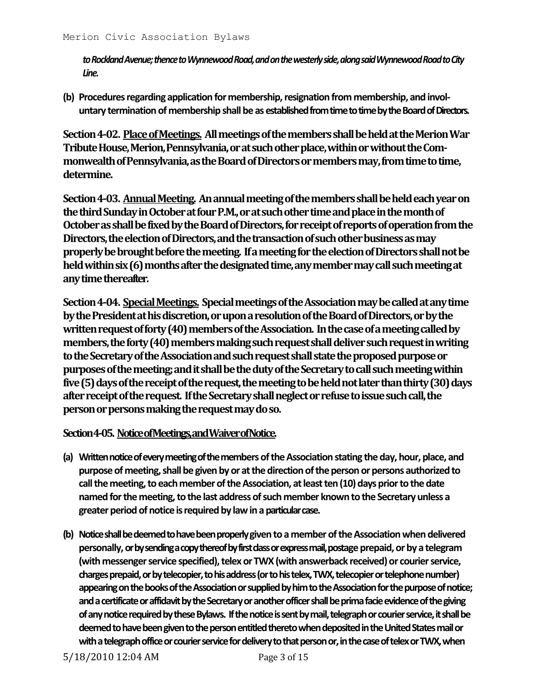*to Rockland Avenue; thence to Wynnewood Road, and on the westerly side, along said Wynnewood Road to City Line.*

**(b) Procedures regarding application for membership, resignation from membership, and involuntary termination of membership shall be as established from time to time by the Board of Directors.**

**Section 4-02. Place of Meetings. All meetings of the members shall be held at the Merion War Tribute House, Merion, Pennsylvania, or at such other place, within or without the Commonwealth of Pennsylvania, as the Board of Directors or members may, from time to time, determine.**

**Section 4-03. Annual Meeting. An annual meeting of the members shall be held each year on the third Sunday in October at four P.M., or at such other time and place in the month of October as shall be fixed by the Board of Directors, for receipt of reports of operation from the Directors, the election of Directors, and the transaction of such other business as may properly be brought before the meeting. If a meeting for the election of Directors shall not be held within six (6) months after the designated time, any member may call such meeting at any time thereafter.**

**Section 4-04. Special Meetings. Special meetings of the Association may be called at any time by the President at his discretion, or upon a resolution of the Board of Directors, or by the written request of forty (40) members of the Association. In the case of a meeting called by members, the forty (40) members making such request shall deliver such request in writing to the Secretary of the Association and such request shall state the proposed purpose or purposes of the meeting; and it shall be the duty of the Secretary to call such meeting within five (5) days of the receipt of the request, the meeting to be held not later than thirty (30) days after receipt of the request. If the Secretary shall neglect or refuse to issue such call, the person or persons making the request maydo so.**

## **Section 4-05. Notice of Meetings, andWaiver of Notice.**

- **(a) Written notice of every meeting of the members of the Association stating the day, hour, place, and purpose of meeting, shall be given by or at the direction of the person or persons authorized to call the meeting, to each member of the Association, at least ten (10) days prior to the date named for the meeting, to the last address of such member known to the Secretary unless a greater period of notice is required by law in a particular case.**
- **(b) Notice shall be deemed to have been properly given to a member of the Association when delivered personally, or by sending a copy thereof by first classor express mail, postage prepaid, or by a telegram (with messenger service specified), telex or TWX (with answerback received) or courier service, charges prepaid, or by telecopier, to his address (or to his telex, TWX, telecopier or telephone number) appearing on the books of the Association or supplied by him to the Association for the purpose of notice; and a certificate or affidavit by the Secretary or another officer shall be prima facie evidence of the giving of any notice required by these Bylaws. If the notice is sent by mail, telegraph or courier service, it shall be deemed to have been given to the person entitled thereto when deposited in the United States mail or with a telegraph office or courier service for delivery to that person or, in the case of telex or TWX, when**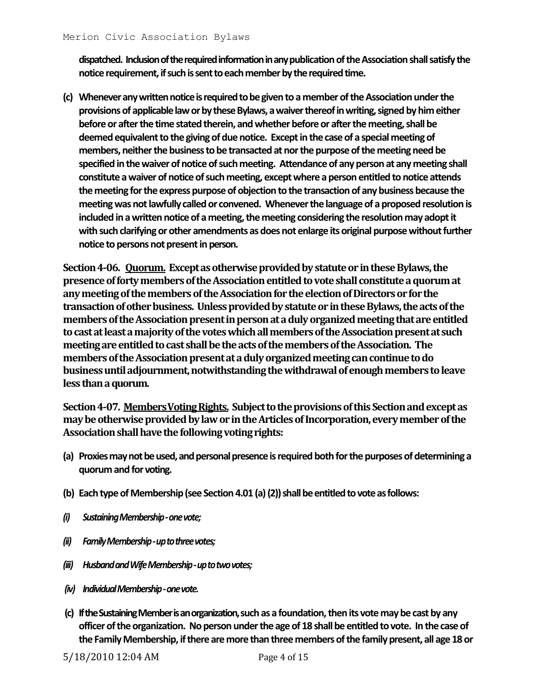**dispatched. Inclusion of the required information in anypublication of the Association shall satisfy the notice requirement, if such is sent to each member by the required time.**

**(c) Whenever any written notice is required to be given to a member of the Association under the provisions of applicable law or by these Bylaws, a waiver thereof in writing, signed by him either before or after the time stated therein, and whether before or after the meeting, shall be deemed equivalent to the giving of due notice. Except in the case of a special meeting of members, neither the business to be transacted at nor the purpose of the meeting need be specified in the waiver of notice of such meeting. Attendance of any person at any meeting shall constitute a waiver of notice of such meeting, except where a person entitled to notice attends the meeting for the express purpose of objection to the transaction of any business because the meeting was not lawfully called or convened. Whenever the language of a proposed resolution is included in a written notice of a meeting, the meeting considering the resolution may adopt it with such clarifying or other amendments as does not enlarge its original purpose without further notice to persons not present in person.**

**Section 4-06. Quorum. Except as otherwise provided by statute or in these Bylaws, the presence of forty members of the Association entitled to vote shall constitute a quorum at any meeting of the members of the Association for the election of Directors or for the transaction of other business. Unless provided by statute or in these Bylaws, the acts of the members of the Association present in person at a duly organized meeting that are entitled to cast at least a majority of the votes which all members of the Association present at such meeting are entitled to cast shall be the acts of the members of the Association. The members of the Association present at a duly organized meeting can continue to do business until adjournment, notwithstanding the withdrawal of enough members to leave less than a quorum.**

**Section 4-07. MembersVoting Rights. Subject to the provisions of this Section and except as may be otherwise provided by law or in the Articles of Incorporation, every member of the Association shall have the following voting rights:**

- **(a) Proxies may not be used, and personal presence is required both for the purposes of determining a quorum and for voting.**
- **(b) Each type of Membership (see Section 4.01 (a) (2)) shall be entitled to vote as follows:**
- *(i) Sustaining Membership -one vote;*
- *(ii) Family Membership -up to three votes;*
- *(iii) Husband and Wife Membership -up to twovotes;*
- *(iv) Individual Membership -one vote.*
- **(c) If the Sustaining Member is an organization,such as a foundation, then its vote may be cast by any officer of the organization. No person under the age of 18 shall be entitled to vote. In the case of the Family Membership, if there are more than three members of the family present, all age 18 or**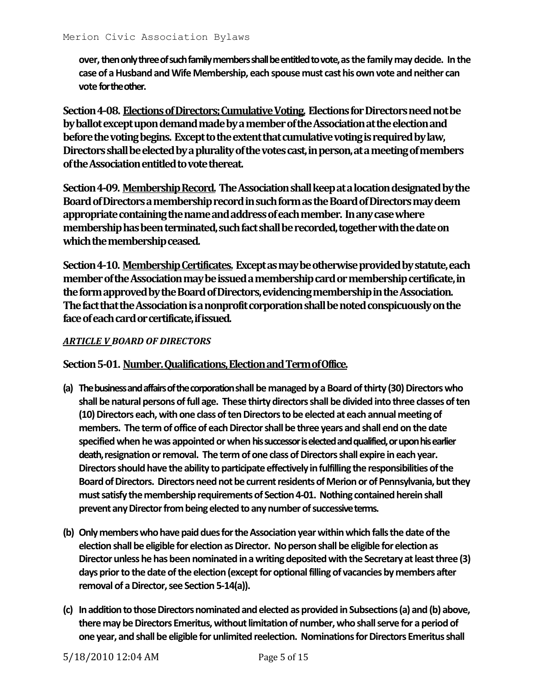**over, then only three of such family members shall be entitled to vote, as the family may decide. In the case of a Husband and Wife Membership, each spouse must cast his own vote and neither can vote for the other.**

**Section 4-08. Elections of Directors; Cumulative Voting. Elections for Directors need not be by ballot except upon demand made by a member of the Association at the election and before the voting begins. Except to the extent that cumulative voting is required by law, Directors shall be elected by a plurality of the votes cast, in person, at a meeting of members ofthe Association entitled to vote thereat.**

**Section 4-09. Membership Record. The Association shall keep at a location designated by the Board of Directors a membership record in such form as the Board of Directors may deem appropriate containing the name and address of each member. In any case where membership has been terminated, such fact shall be recorded, together with the date on which the membership ceased.**

**Section 4-10. Membership Certificates. Except as may be otherwise provided by statute, each member of the Association may be issued a membership card or membership certificate, in the form approved by the Board of Directors, evidencing membership in the Association. The fact that the Association is a nonprofit corporation shall be noted conspicuously on the face of each card or certificate, if issued.**

### *ARTICLE V BOARD OF DIRECTORS*

**Section 5-01. Number. Qualifications, Election and Term of Office.**

- **(a) The business and affairs of the corporationshall be managed by a Board of thirty (30) Directors who shall be natural persons of full age. These thirty directors shall be divided into three classes of ten (10) Directors each, with one class of ten Directors to be elected at each annual meeting of members. The term of office of each Director shall be three years and shall end on the date specified when he was appointed or when his successor is elected and qualified, or upon his earlier death, resignation or removal. The term of one class of Directors shall expire in each year. Directors should have the ability toparticipate effectively in fulfilling the responsibilities of the Board of Directors. Directors need not be current residents of Merion or of Pennsylvania, but they must satisfy the membership requirements of Section 4-01. Nothing contained herein shall prevent any Director from being elected to any number of successive terms.**
- **(b) Only members who have paid dues for the Association year within which falls the date of the election shall be eligible for election as Director. No person shall be eligible for election as Director unless he has been nominated in a writing deposited with the Secretary at least three (3) days prior to the date of the election (except for optional filling of vacancies by members after removal of a Director, see Section 5-14(a)).**
- **(c) In addition to those Directors nominated and elected as provided in Subsections (a) and (b) above, there may be Directors Emeritus, without limitation of number, who shall serve for a period of one year, and shall be eligible for unlimited reelection. Nominations for Directors Emeritus shall**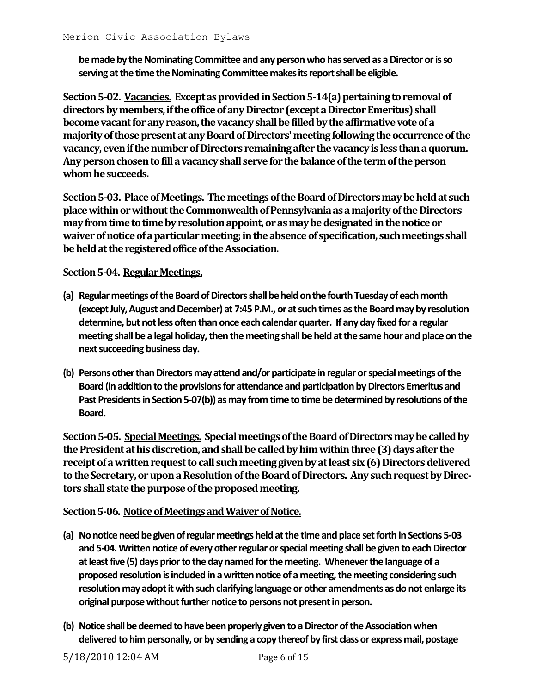**be made by the Nominating Committee and any person who has served as a Director or is so serving at the time the Nominating Committee makes its report shall be eligible.**

**Section 5-02. Vacancies. Except as provided in Section 5-14(a) pertaining to removal of directors by members, if the office of any Director (except a Director Emeritus) shall become vacant for any reason, the vacancy shall be filled by the affirmative vote of a majorityof those present at any Board of Directors' meeting following the occurrence of the vacancy, even if the number of Directors remaining after the vacancy is less than a quorum.**  Any person chosen to fill a vacancy shall serve for the balance of the term of the person **whom he succeeds.**

**Section 5-03. Place of Meetings. The meetings of the Board of Directors may be held at such place within or without the Commonwealth of Pennsylvania as a majority of the Directors**  may from time to time by resolution appoint, or as may be designated in the notice or **waiver of notice of a particular meeting; in the absence of specification, such meetings shall be held at the registered office of the Association.**

## **Section 5-04. Regular Meetings.**

- **(a) Regular meetings of the Board of Directorsshall be held on the fourth Tuesday of each month (except July, August and December) at 7:45 P.M., or at such times as the Board may by resolution determine, but not less often than once each calendar quarter. If any day fixed for a regular meeting shall be a legal holiday, then the meeting shall be held at the same hour and place on the next succeeding business day.**
- **(b) Persons other than Directors may attend and/or participate in regular or special meetings of the**  Board (in addition to the provisions for attendance and participation by Directors Emeritus and **Past Presidents in Section 5-07(b)) as may from time to time be determined by resolutions of the Board.**

**Section 5-05. Special Meetings. Special meetings of the Board of Directorsmay be called by the President at his discretion, and shall be called by him within three (3) days after the receipt of a written request to call such meeting given by at least six (6) Directors delivered to the Secretary, or upon a Resolution of the Board of Directors. Any such request by Directors shall state the purpose of the proposed meeting.**

**Section 5-06. Notice of Meetings and Waiver of Notice.**

- **(a) No notice need be given of regular meetingsheld at the time and place set forth in Sections 5-03 and 5-04. Written notice of every other regular or special meeting shall be given to each Director at least five (5) days prior to the day named for the meeting. Whenever the language of a proposed resolution is included in a written notice of a meeting, the meeting considering such resolution may adopt it with such clarifying language or other amendments as do not enlarge its original purpose without further notice to persons not present in person.**
- **(b) Notice shall be deemed to have been properlygiven to a Director of the Association when delivered to him personally, or by sending a copy thereof by first class or express mail, postage**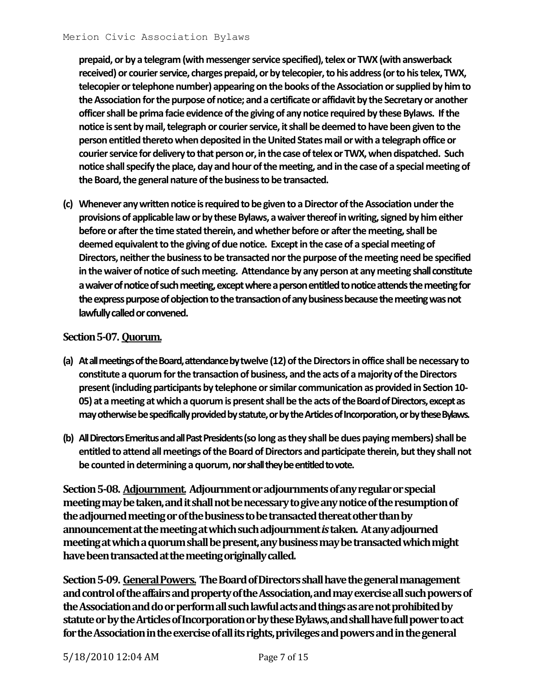**prepaid, or by a telegram (with messenger service specified), telex or TWX (with answerback received) or courier service, charges prepaid, or by telecopier, to his address (or to his telex, TWX, telecopier or telephone number) appearing on the books of the Association or supplied by him to the Association for the purpose of notice; and a certificate or affidavit by the Secretary or another officer shall be prima facie evidence of the giving of any notice required by these Bylaws. If the notice is sent by mail, telegraph or courier service, it shall be deemed to have been given to the person entitled thereto when deposited in the United States mail or with a telegraph office or courier service for delivery to that person or, in the case of telex or TWX, when dispatched. Such notice shall specify the place, day and hour of the meeting, and in the case of a special meeting of the Board, the general nature of the business to be transacted.**

**(c) Whenever any written notice is required to be given to a Director of the Association under the provisions of applicable law or by these Bylaws, a waiver thereof in writing, signed by him either before or after the time stated therein, and whether before or after the meeting, shall be deemed equivalent to the giving of due notice. Except in the case of a special meeting of Directors, neither the business to be transacted nor the purpose of the meeting need be specified in the waiver of notice of such meeting. Attendance by any person at any meeting shall constitute a waiver of notice of such meeting, except where a person entitled to notice attends the meeting for the express purpose of objection to the transaction of any business because the meeting was not lawfully called or convened.**

## **Section 5-07. Quorum.**

- **(a) At all meetings of the Board, attendance bytwelve (12) of the Directors in office shall be necessary to constitute a quorum for the transaction of business, and the acts of a majority of the Directors present (including participants by telephone or similar communication as provided in Section 10- 05) at a meeting at which a quorum is present shall be the acts of the Board of Directors, except as may otherwise be specifically provided by statute, or by the Articles of Incorporation, or by these Bylaws.**
- **(b) All Directors Emeritus and all Past Presidents (so long as they shall be dues paying members) shall be entitled to attend all meetings of the Board of Directors and participate therein, but they shall not be counted in determining a quorum, nor shall they be entitled to vote.**

**Section 5-08. Adjournment. Adjournment or adjournments of any regular or special meeting may be taken, and it shall not be necessary to give any notice of the resumption of the adjourned meeting or of the business to be transacted thereat other than by announcement at the meeting at which such adjournment** *is* **taken. At any adjourned meeting at which a quorum shall be present, any business may be transacted which might have been transacted at the meeting originally called.**

**Section 5-09. General Powers. The Board of Directors shall have the general management and control of the affairs and property of the Association, and may exercise all such powers of the Association and do or perform all such lawful acts and things as are not prohibited by statute or by the Articles of Incorporation or by these Bylaws, and shall have fullpower to act for theAssociation in the exercise of all its rights, privileges and powers and in the general**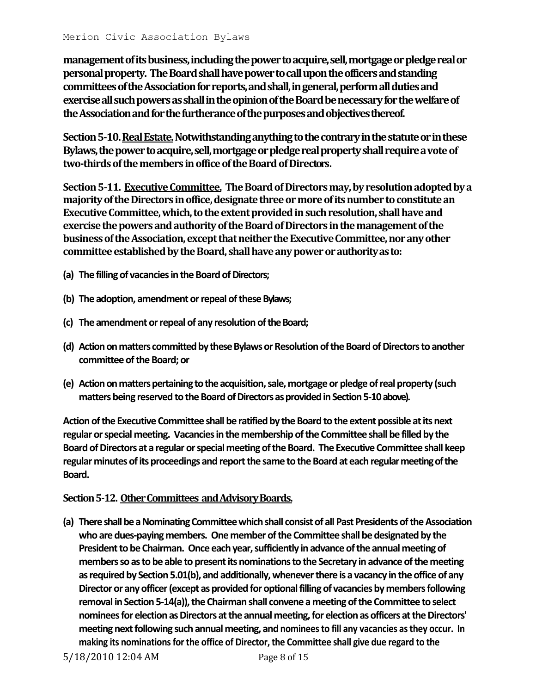**management of its business, including the power to acquire, sell, mortgage or pledge real or personal property. The Board shall have power to call upon the officers and standing committees of the Association for reports, and shall, in general, perform all duties and exercise all such powers as shall in the opinion of the Board be necessary for the welfare of the Association and for the furtherance of the purposes and objectives thereof.**

**Section 5-10. Real Estate.Notwithstanding anything to the contrary in the statute or in these Bylaws, the power to acquire, sell, mortgage or pledge real property shall require avote of two-thirds of the members in office of the Boardof Directors .**

**Section 5-11. Executive Committee. The Board of Directors may, by resolution adopted by a majority of the Directors in office, designate three or more of its number to constitute an Executive Committee, which, to the extent provided in such resolution, shall have and exercise the powers and authority of the Board of Directors in the management of the business of the Association, except that neither the Executive Committee, nor any other committee established by the Board, shall have any power or authority as to:**

- **(a) The filling of vacancies in the Board of Directors;**
- **(b) The adoption, amendment or repeal of these Bylaws;**
- **(c) The amendment or repeal of any resolution of the Board;**
- **(d) Action on matters committed by these Bylaws or Resolution of the Board of Directors to another committee of the Board; or**
- **(e) Action on matters pertaining to the acquisition, sale, mortgage or pledge of real property (such matters being reserved to the Board of Directors as provided in Section 5-10 above).**

**Action of the Executive Committee shall be ratified by the Board to the extent possible at its next regular or special meeting. Vacancies in the membership of the Committee shall be filled by the Board of Directors at a regular or special meeting of the Board. The Executive Committee shall keep regular minutes of its proceedings and report the same to the Board at each regular meeting of the Board.**

#### **Section 5-12. Other Committees and Advisory Boards.**

**(a) There shall be a Nominating Committee which shall consist of all Past Presidents of the Association who are dues-paying members. One member of the Committee shall be designated by the President to be Chairman. Once each year, sufficiently in advance of the annual meeting of members so asto be able to present its nominations to the Secretary in advance of the meeting as required by Section 5.01(b), and additionally, whenever there is a vacancy in the office of any Director or any officer (except as provided for optional filling of vacancies by members following removal in Section 5-14(a)), the Chairman shall convene a meeting of the Committee to select nominees for election as Directors at the annual meeting, for election as officers at the Directors' meeting next following such annual meeting, and nominees to fill any vacancies as they occur. In making its nominations for the office of Director, the Committee shall give due regard to the**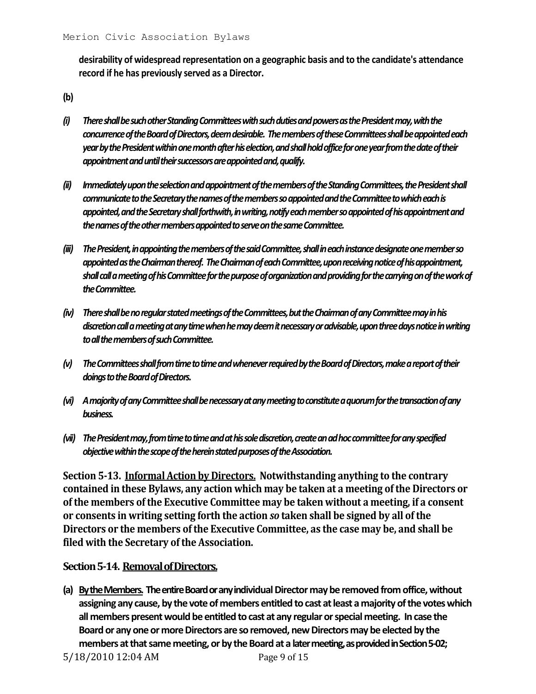**desirability of widespread representation on a geographic basis and to the candidate's attendance record if he has previously served as a Director.**

**(b)** 

- *(i) There shall be such other Standing Committees with such duties and powers as the President may, with the concurrence of the Board of Directors, deem desirable. The members of these Committees shall be appointed each year by the President within one month after his election, and shall hold office for one year from the date of their appointment and until their successors are appointed and, qualify.*
- *(ii) Immediately upon the selection and appointmentof the members of the Standing Committees, the President shall communicate to the Secretary the names of the members so appointed and the Committee to which each is appointed, and the Secretary shall forthwith, in writing, notify each member so appointed of his appointment and the names of the other membersappointed to serve on the same Committee.*
- *(iii) The President, in appointing the membersof the said Committee, shall in each instance designate one member so appointed as the Chairman thereof. The Chairmanof each Committee, upon receiving notice of his appointment, shall call a meeting of his Committee for the purpose of organization and providing for the carryingon of the work of the Committee.*
- *(iv) There shall be no regular stated meetingsof the Committees, but the Chairman of any Committee may in his discretion call a meeting at any time when he may deem it necessary or advisable, upon three days notice in writing to all the members of such Committee.*
- *(v) The Committees shall from time to timeand whenever required by the Board of Directors, make a report of their doings to the Board of Directors.*
- *(vi) A majority of any Committee shall benecessary at any meeting to constitute a quorum for the transaction of any business.*
- *(vii) The President may, from time to time andat his sole discretion, create an ad hoc committeefor any specified objective within the scope of the herein stated purposes of the Association.*

**Section 5-13. Informal Action by Directors. Notwithstanding anything to the contrary contained in these Bylaws, any action which may be taken at a meeting of the Directors or of the members of the Executive Committee may be taken without a meeting, if a consent or consents in writing setting forth the action** *so* **taken shall be signed by all of the Directors or the members of the Executive Committee, as the case may be, and shall be filed with the Secretary of the Association.**

## **Section 5-14. Removal of Directors.**

**(a) By the Members. The entire Board or any individual Director may be removed from office, without assigning any cause, by the vote of members entitled to cast at least a majority of the votes which all members present would be entitled to cast at any regular or special meeting. In case the Board or any one or more Directors are so removed, new Directors may be elected by the members at that same meeting, or by the Board at a later meeting, as provided in Section 5-02;** 

5/18/2010 12:04 AM Page 9 of 15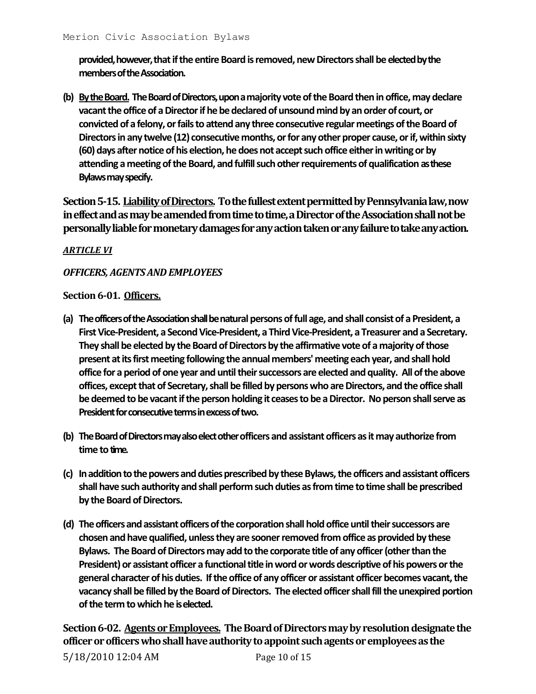**provided, however, that if the entire Board is removed, new Directors shall be elected by the members of the Association.**

**(b) By the Board. The Board of Directors, upon a majority vote of the Board then in office, may declare vacant the office of a Director if he be declared of unsound mind by an order of court, or convicted of a felony, or fails to attend any three consecutive regular meetings of the Board of Directors in any twelve (12) consecutive months, or for any other proper cause, or if, within sixty (60) days after notice of his election, he does not accept such office either in writing or by attending a meeting of the Board, and fulfill such other requirements of qualification as these Bylaws may specify.**

**Section 5-15. Liability of Directors. To the fullest extent permitted by Pennsylvania law, now in effect and as may be amended from time to time, a Director of the Association shall not be personally liable for monetary damages for any action taken or any failure to take any action.**

## *ARTICLE VI*

### *OFFICERS, AGENTS AND EMPLOYEES*

#### **Section 6-01. Officers.**

- **(a) The officers of the Association shall be natural persons of full age, and shall consist of a President, a First Vice-President, a Second Vice-President, a Third Vice-President, a Treasurer and a Secretary. They shall be elected by the Board of Directors by the affirmative vote of a majority of those present at its first meeting following the annual members' meeting each year, and shall hold office for a period of one year and until their successors are elected and quality. All of the above offices, except that of Secretary, shall be filled by persons who are Directors, and the office shall be deemed to be vacant if the person holding it ceases to be a Director. No person shall serve as President for consecutive terms in excess of two.**
- **(b) The Board of Directors may also elect otherofficers and assistant officers as it may authorize from time to time.**
- **(c) In addition to the powers and duties prescribed by these Bylaws, the officers and assistant officers shall have such authority and shall perform such duties as from time to time shall be prescribed by the Board of Directors.**
- **(d) The officers and assistant officers of thecorporation shall hold office until their successors are chosen and have qualified, unless they are sooner removed from office as provided by these Bylaws. The Board of Directors may add to the corporate title of any officer (other than the President) or assistant officer a functional title in word or words descriptive of his powers or the general character of his duties. If the office of any officer or assistant officer becomes vacant, the vacancy shall be filled by the Board of Directors. The elected officer shall fill the unexpired portion of the term to which he is elected.**

**Section 6-02. Agents or Employees. The Board of Directors may by resolution designate the officer or officers who shall have authority to appoint such agents or employees as the**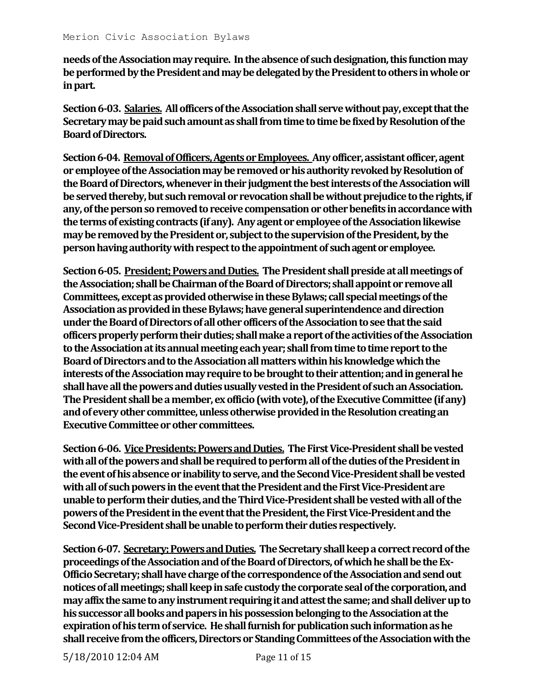**needs of the Association may require. In the absence of such designation, this function may be performed by the President and may be delegated by the President to others in whole or in part.**

**Section 6-03. Salaries. All officers of the Association shall serve without pay, except that the Secretary may be paid such amount as shall from time to time be fixed by Resolution of the Board of Directors.**

Section 6-04. Removal of Officers, Agents or Employees. Any officer, assistant officer, agent **or employee of the Association may be removed or his authority revoked by Resolution of the Board of Directors, whenever in their judgment the best interests of the Association will be served thereby, but such removal or revocation shall be without prejudice to the rights, if any, of the person so removed to receive compensation or other benefits in accordance with the terms of existing contracts (if any). Any agent or employee of the Association likewise may be removed by the President or, subject to the supervision of the President, by the person having authority with respect to the appointment of such agent or employee.**

**Section 6-05. President; Powers and Duties. The President shall preside at all meetings of the Association; shall be Chairman of the Board of Directors; shall appoint or remove all Committees, except as provided otherwise in these Bylaws; call special meetings of the Association as provided in these Bylaws; have general superintendence and direction under the Board of Directors of all other officers of the Association to see that the said officers properly perform their duties; shall make a report of the activities of the Association to the Association at its annual meeting each year; shall from time to time report to the Board of Directors and to the Association all matters within his knowledge which the interests of the Association may require to be brought to their attention; and in general he shall have all the powers and duties usually vested in the President of such an Association. The President shall be a member, ex officio (with vote), of the Executive Committee (if any) and of every other committee, unless otherwise provided in the Resolution creating an Executive Committee or other committees.**

**Section 6-06. Vice Presidents; Powers and Duties. The First Vice-President shall be vested with all of the powers and shall be required to perform all of the duties of the President in the event of his absence or inability to serve, and the Second Vice-President shall be vested with all of such powers in the event that the President and the First Vice-President are unable to perform their duties, and the Third Vice-President shall be vested with all of the powers of the President in the event that the President, the First Vice-President and the Second Vice-President shall be unable to perform their duties respectively.**

**Section 6-07. Secretary; Powers and Duties. The Secretary shall keep a correct record of the proceedings of the Association and of the Board of Directors, of which he shall be the Ex-Officio Secretary; shall have charge of the correspondence of the Association and send out notices of all meetings; shall keep in safe custody the corporate seal of the corporation, and may affix the same to any instrument requiring it and attest the same; and shall deliver up to his successor all books and papers in his possession belonging to the Association at the expiration of his term of service. Heshall furnish for publication such information as he shall receive from the officers, Directors or Standing Committees of the Association with the**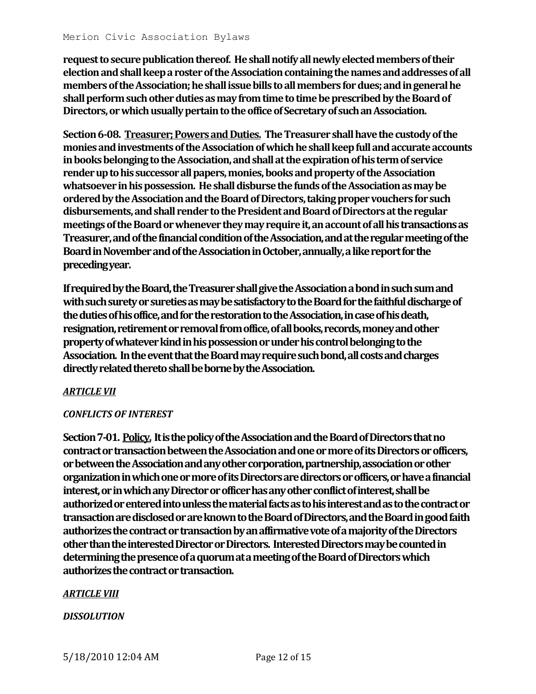**request to secure publication thereof. He shall notify all newly elected members of their election and shall keep a roster of the Association containing the names and addresses of all members of the Association; he shall issue bills to all members for dues; and in general he shall perform such other duties as may from time to time be prescribed by the Board of Directors, or which usually pertain to the office of Secretary of such an Association.**

**Section 6-08. Treasurer; Powers and Duties. The Treasurer shall have the custody of the monies and investments of the Association of which he shall keep full and accurate accounts in books belonging to the Association, and shall at the expiration of his term of service render up to his successor all papers, monies, books and property of the Association**  whatsoever in his possession. He shall disburse the funds of the Association as may be **ordered by the Association and the Board of Directors, taking proper vouchers for such disbursements, and shall render to the President and Board of Directors at the regular meetings of the Board or whenever they may require it, an account of allhis transactions as Treasurer, and of the financial condition of the Association, and at the regular meeting of the Board in November and of the Association in October, annually, a like report for the preceding year.**

**If required by the Board, the Treasurer shall give the Association a bond in such sum and with such surety or sureties as may be satisfactory to the Board for the faithful discharge of the duties of his office, and for the restoration to the Association, in case of his death, resignation, retirement or removal from office, of all books, records, money and other property of whatever kind in his possession or under his control belonging to the Association. In the event that the Board may require such bond, all costs and charges directly related thereto shall be borne by the Association.**

## *ARTICLE VII*

#### *CONFLICTS OF INTEREST*

**Section 7-01. Policy. It is the policy of the Association and the Board of Directors that no contract or transaction between the Association and one or more of its Directors or officers, or between the Association and any other corporation, partnership, association or other organization in which one or more of its Directors are directors or officers, or have a financial interest, or in which any Director or officer has any other conflict of interest, shall be authorized or entered into unless the material facts as to his interest and as to the contract or transaction are disclosed or are known to the Board of Directors, and the Board in good faith authorizes the contract or transaction by an affirmative vote of a majority of the Directors other than the interested Director or Directors. Interested Directors may be counted in determining the presence of a quorum at a meeting of the Board of Directors which authorizes the contract or transaction.**

#### *ARTICLE VIII*

#### *DISSOLUTION*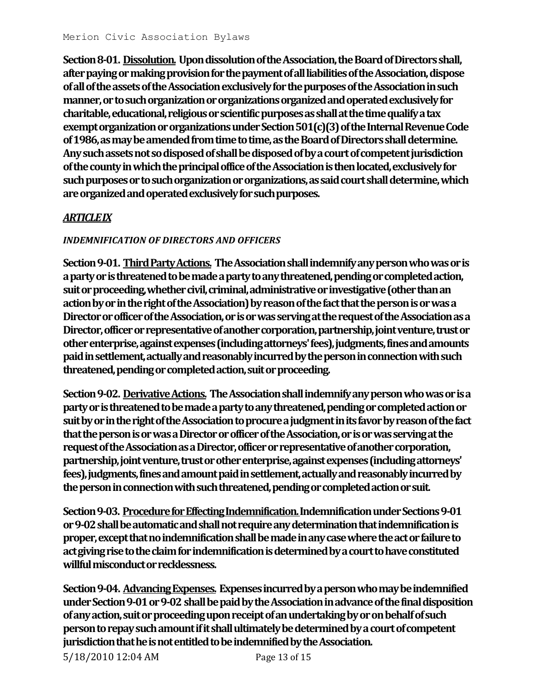**Section 8-01. Dissolution. Upon dissolution of the Association, the Board of Directors shall, after paying or making provision for the payment of all liabilities of the Association, dispose ofall of the assets of the Association exclusively for the purposes of the Association in such manner, or to such organization or organizations organized and operated exclusively for**  charitable, educational, religious or scientific purposes as shall at the time qualify a tax **exempt organization or organizationsunder Section 501(c)(3) of the Internal Revenue Code of 1986, as may be amended from time to time, as the Board of Directors shall determine. Any such assets not so disposed of shall be disposed of by a court of competent jurisdiction of the county in which the principal office of the Association is then located, exclusively for such purposes or to such organization or organizations, as said court shall determine, which are organized and operated exclusively for such purposes.**

# *ARTICLE IX*

## *INDEMNIFICATION OF DIRECTORS AND OFFICERS*

**Section 9-01. Third Party Actions. The Association shall indemnify any person who was or is a party or is threatened to be made a party to any threatened, pending or completed action, suit or proceeding, whether civil, criminal, administrative or investigative (other than an action by or in the right of the Association) by reason of the fact that the person is or was a Director or officer of the Association, or is or was serving at the request of the Association as a Director, officer or representative of another corporation, partnership, joint venture, trust or other enterprise, against expenses (including attorneys' fees), judgments, fines and amounts paid in settlement, actually and reasonably incurred by the person in connection with such threatened, pending or completed action, suit or proceeding.**

**Section 9-02. Derivative Actions. The Association shall indemnify any person who was or is a party or is threatened to be made a party to any threatened, pending or completed action or suit by or in the right of the Association to procure a judgment in its favor by reason of the fact that the person is or was a Director or officer of the Association, or is or was serving at the request of the Association as a Director, officer or representative of another corporation, partnership, joint venture, trust or other enterprise, against expenses (including attorneys' fees), judgments, fines and amount paid in settlement, actually and reasonably incurred by the person in connection with such threatened, pending or completed action or suit.**

**Section 9-03. Procedure for Effecting Indemnification. Indemnification under Sections 9-01 or 9-02 shall be automatic and shall not require any determination that indemnification is proper, except that no indemnification shall be made in any case where the act or failure to act giving rise to the claim for indemnification is determined by a court to have constituted willful misconduct or recklessness.**

**Section 9-04. Advancing Expenses. Expenses incurred by a person who may be indemnified under Section 9-01 or 9-02 shall be paid by the Association in advance of the final disposition of any action, suit or proceeding upon receipt of an undertaking by or on behalf of such person to repay such amount if it shall ultimately be determined by a court of competent jurisdiction that he is not entitled to be indemnified by the Association.**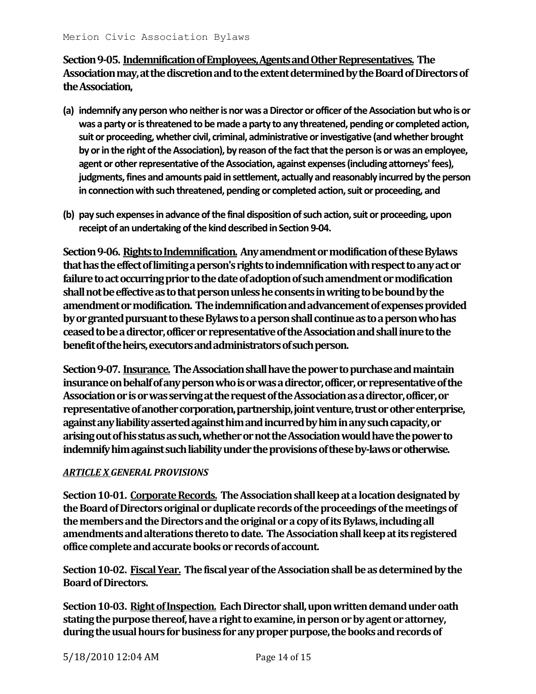**Section 9-05. Indemnification of Employees, Agents and Other Representatives. The Association may, at the discretion and to the extent determined by the Board of Directors of the Association,**

- **(a) indemnify any person who neither is nor was a Director or officer of the Association but who is or was a party or is threatened to be made a party to any threatened, pending or completed action, suit or proceeding, whether civil, criminal, administrative or investigative (and whether brought by or in the right of the Association), by reason of the fact that the person is or was an employee, agent or other representative of the Association, against expenses (including attorneys' fees), judgments, fines and amounts paid in settlement, actually and reasonably incurred by the person in connection with such threatened, pending or completed action, suit or proceeding, and**
- **(b) pay such expenses in advance of the final disposition of such action, suit or proceeding, upon receipt of an undertaking of the kind described in Section 9-04.**

**Section 9-06. Rights to Indemnification. Any amendment or modification of these Bylaws that has the effect of limiting a person's rights to indemnification with respect to any act or failure to act occurring prior to the date of adoption of such amendment or modification shall not be effective as to that person unless he consents in writing to be bound by the amendment or modification. The indemnification and advancement of expenses provided by or granted pursuant to these Bylaws to a person shall continue as to a person who has ceased to be a director, officer or representative of the Association and shall inure to the benefit of the heirs, executors and administrators of such person.**

**Section 9-07. Insurance. The Association shall have the power to purchase and maintain insurance on behalf of any person who is or was a director, officer, or representative of the Association or is or was serving at the request of the Association as a director, officer, or representative of another corporation, partnership, joint venture, trust or other enterprise, against any liability asserted against him and incurred by him in any such capacity, or arising out of his status as such, whether or not the Association would have the power to indemnify him against such liability under the provisions of these by-laws or otherwise.**

## *ARTICLE X GENERAL PROVISIONS*

**Section 10-01. Corporate Records. The Association shall keep at a location designated by the Board of Directors original or duplicate records of the proceedings of the meetings of the members and the Directors and the original or a copy of its Bylaws, including all amendments and alterations thereto to date. The Association shall keep at its registered office complete and accurate books or records of account.**

**Section 10-02. Fiscal Year. The fiscal year of the Association shall be as determined by the Board of Directors.**

**Section 10-03. Right of Inspection. Each Director shall, upon written demand under oath stating the purpose thereof, have a right to examine, in person or by agent or attorney, during the usual hours for business for any proper purpose, the books and records of**